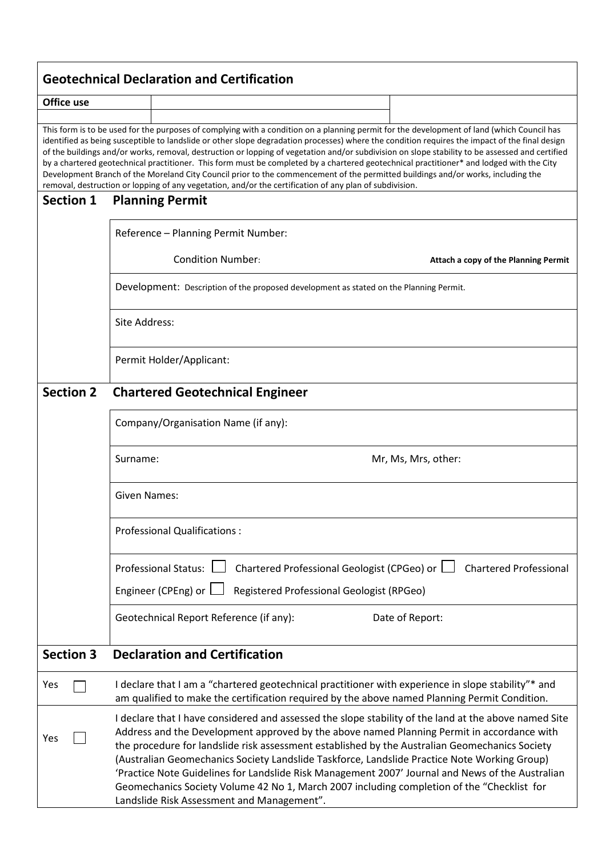| <b>Geotechnical Declaration and Certification</b>                                                                                                                                                                                                                                                                                                                                                                                                                                                                                                                                                                                                                                                                                                                                                                                                                                        |                                                                                                                                                                                                                                                                                                                                                                                                                                                                                                                                                                                                                                                       |  |  |
|------------------------------------------------------------------------------------------------------------------------------------------------------------------------------------------------------------------------------------------------------------------------------------------------------------------------------------------------------------------------------------------------------------------------------------------------------------------------------------------------------------------------------------------------------------------------------------------------------------------------------------------------------------------------------------------------------------------------------------------------------------------------------------------------------------------------------------------------------------------------------------------|-------------------------------------------------------------------------------------------------------------------------------------------------------------------------------------------------------------------------------------------------------------------------------------------------------------------------------------------------------------------------------------------------------------------------------------------------------------------------------------------------------------------------------------------------------------------------------------------------------------------------------------------------------|--|--|
| Office use                                                                                                                                                                                                                                                                                                                                                                                                                                                                                                                                                                                                                                                                                                                                                                                                                                                                               |                                                                                                                                                                                                                                                                                                                                                                                                                                                                                                                                                                                                                                                       |  |  |
| This form is to be used for the purposes of complying with a condition on a planning permit for the development of land (which Council has<br>identified as being susceptible to landslide or other slope degradation processes) where the condition requires the impact of the final design<br>of the buildings and/or works, removal, destruction or lopping of vegetation and/or subdivision on slope stability to be assessed and certified<br>by a chartered geotechnical practitioner. This form must be completed by a chartered geotechnical practitioner* and lodged with the City<br>Development Branch of the Moreland City Council prior to the commencement of the permitted buildings and/or works, including the<br>removal, destruction or lopping of any vegetation, and/or the certification of any plan of subdivision.<br><b>Section 1</b><br><b>Planning Permit</b> |                                                                                                                                                                                                                                                                                                                                                                                                                                                                                                                                                                                                                                                       |  |  |
|                                                                                                                                                                                                                                                                                                                                                                                                                                                                                                                                                                                                                                                                                                                                                                                                                                                                                          |                                                                                                                                                                                                                                                                                                                                                                                                                                                                                                                                                                                                                                                       |  |  |
|                                                                                                                                                                                                                                                                                                                                                                                                                                                                                                                                                                                                                                                                                                                                                                                                                                                                                          | Reference - Planning Permit Number:                                                                                                                                                                                                                                                                                                                                                                                                                                                                                                                                                                                                                   |  |  |
|                                                                                                                                                                                                                                                                                                                                                                                                                                                                                                                                                                                                                                                                                                                                                                                                                                                                                          | <b>Condition Number:</b><br>Attach a copy of the Planning Permit                                                                                                                                                                                                                                                                                                                                                                                                                                                                                                                                                                                      |  |  |
|                                                                                                                                                                                                                                                                                                                                                                                                                                                                                                                                                                                                                                                                                                                                                                                                                                                                                          | Development: Description of the proposed development as stated on the Planning Permit.                                                                                                                                                                                                                                                                                                                                                                                                                                                                                                                                                                |  |  |
|                                                                                                                                                                                                                                                                                                                                                                                                                                                                                                                                                                                                                                                                                                                                                                                                                                                                                          | Site Address:                                                                                                                                                                                                                                                                                                                                                                                                                                                                                                                                                                                                                                         |  |  |
|                                                                                                                                                                                                                                                                                                                                                                                                                                                                                                                                                                                                                                                                                                                                                                                                                                                                                          | Permit Holder/Applicant:                                                                                                                                                                                                                                                                                                                                                                                                                                                                                                                                                                                                                              |  |  |
| <b>Section 2</b>                                                                                                                                                                                                                                                                                                                                                                                                                                                                                                                                                                                                                                                                                                                                                                                                                                                                         | <b>Chartered Geotechnical Engineer</b>                                                                                                                                                                                                                                                                                                                                                                                                                                                                                                                                                                                                                |  |  |
|                                                                                                                                                                                                                                                                                                                                                                                                                                                                                                                                                                                                                                                                                                                                                                                                                                                                                          | Company/Organisation Name (if any):                                                                                                                                                                                                                                                                                                                                                                                                                                                                                                                                                                                                                   |  |  |
|                                                                                                                                                                                                                                                                                                                                                                                                                                                                                                                                                                                                                                                                                                                                                                                                                                                                                          | Mr, Ms, Mrs, other:<br>Surname:                                                                                                                                                                                                                                                                                                                                                                                                                                                                                                                                                                                                                       |  |  |
|                                                                                                                                                                                                                                                                                                                                                                                                                                                                                                                                                                                                                                                                                                                                                                                                                                                                                          | <b>Given Names:</b>                                                                                                                                                                                                                                                                                                                                                                                                                                                                                                                                                                                                                                   |  |  |
|                                                                                                                                                                                                                                                                                                                                                                                                                                                                                                                                                                                                                                                                                                                                                                                                                                                                                          | <b>Professional Qualifications:</b>                                                                                                                                                                                                                                                                                                                                                                                                                                                                                                                                                                                                                   |  |  |
|                                                                                                                                                                                                                                                                                                                                                                                                                                                                                                                                                                                                                                                                                                                                                                                                                                                                                          | Chartered Professional Geologist (CPGeo) or $\Box$<br><b>Professional Status:</b><br><b>Chartered Professional</b>                                                                                                                                                                                                                                                                                                                                                                                                                                                                                                                                    |  |  |
|                                                                                                                                                                                                                                                                                                                                                                                                                                                                                                                                                                                                                                                                                                                                                                                                                                                                                          | Engineer (CPEng) or I<br>Registered Professional Geologist (RPGeo)                                                                                                                                                                                                                                                                                                                                                                                                                                                                                                                                                                                    |  |  |
|                                                                                                                                                                                                                                                                                                                                                                                                                                                                                                                                                                                                                                                                                                                                                                                                                                                                                          | Geotechnical Report Reference (if any):<br>Date of Report:                                                                                                                                                                                                                                                                                                                                                                                                                                                                                                                                                                                            |  |  |
| <b>Section 3</b>                                                                                                                                                                                                                                                                                                                                                                                                                                                                                                                                                                                                                                                                                                                                                                                                                                                                         | <b>Declaration and Certification</b>                                                                                                                                                                                                                                                                                                                                                                                                                                                                                                                                                                                                                  |  |  |
| Yes                                                                                                                                                                                                                                                                                                                                                                                                                                                                                                                                                                                                                                                                                                                                                                                                                                                                                      | I declare that I am a "chartered geotechnical practitioner with experience in slope stability"* and<br>am qualified to make the certification required by the above named Planning Permit Condition.                                                                                                                                                                                                                                                                                                                                                                                                                                                  |  |  |
| Yes                                                                                                                                                                                                                                                                                                                                                                                                                                                                                                                                                                                                                                                                                                                                                                                                                                                                                      | I declare that I have considered and assessed the slope stability of the land at the above named Site<br>Address and the Development approved by the above named Planning Permit in accordance with<br>the procedure for landslide risk assessment established by the Australian Geomechanics Society<br>(Australian Geomechanics Society Landslide Taskforce, Landslide Practice Note Working Group)<br>'Practice Note Guidelines for Landslide Risk Management 2007' Journal and News of the Australian<br>Geomechanics Society Volume 42 No 1, March 2007 including completion of the "Checklist for<br>Landslide Risk Assessment and Management". |  |  |